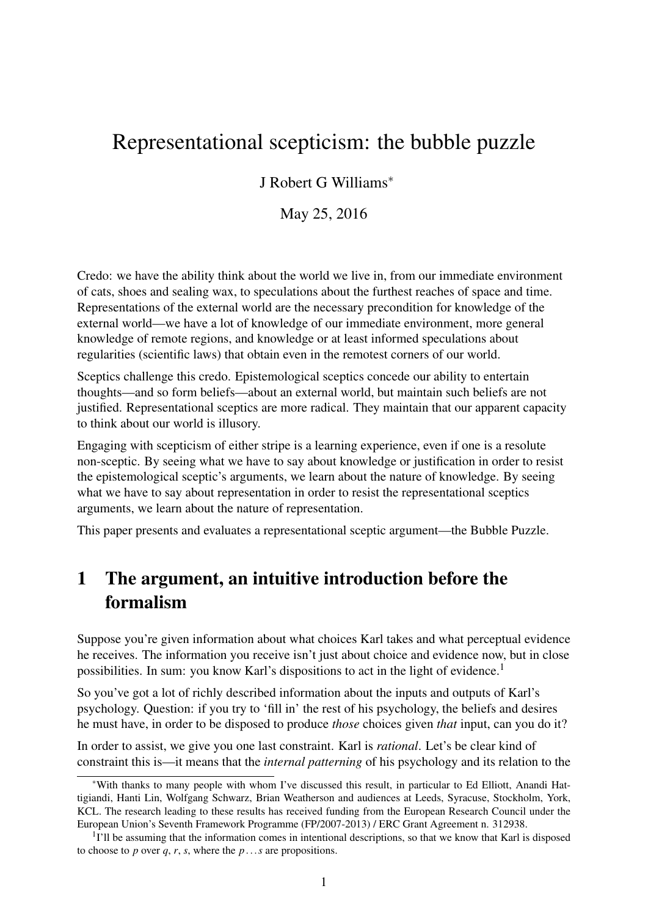# Representational scepticism: the bubble puzzle

### J Robert G Williams<sup>∗</sup>

May 25, 2016

Credo: we have the ability think about the world we live in, from our immediate environment of cats, shoes and sealing wax, to speculations about the furthest reaches of space and time. Representations of the external world are the necessary precondition for knowledge of the external world—we have a lot of knowledge of our immediate environment, more general knowledge of remote regions, and knowledge or at least informed speculations about regularities (scientific laws) that obtain even in the remotest corners of our world.

Sceptics challenge this credo. Epistemological sceptics concede our ability to entertain thoughts—and so form beliefs—about an external world, but maintain such beliefs are not justified. Representational sceptics are more radical. They maintain that our apparent capacity to think about our world is illusory.

Engaging with scepticism of either stripe is a learning experience, even if one is a resolute non-sceptic. By seeing what we have to say about knowledge or justification in order to resist the epistemological sceptic's arguments, we learn about the nature of knowledge. By seeing what we have to say about representation in order to resist the representational sceptics arguments, we learn about the nature of representation.

This paper presents and evaluates a representational sceptic argument—the Bubble Puzzle.

## 1 The argument, an intuitive introduction before the formalism

Suppose you're given information about what choices Karl takes and what perceptual evidence he receives. The information you receive isn't just about choice and evidence now, but in close possibilities. In sum: you know Karl's dispositions to act in the light of evidence.[1](#page-0-0)

So you've got a lot of richly described information about the inputs and outputs of Karl's psychology. Question: if you try to 'fill in' the rest of his psychology, the beliefs and desires he must have, in order to be disposed to produce *those* choices given *that* input, can you do it?

In order to assist, we give you one last constraint. Karl is *rational*. Let's be clear kind of constraint this is—it means that the *internal patterning* of his psychology and its relation to the

<sup>∗</sup>With thanks to many people with whom I've discussed this result, in particular to Ed Elliott, Anandi Hattigiandi, Hanti Lin, Wolfgang Schwarz, Brian Weatherson and audiences at Leeds, Syracuse, Stockholm, York, KCL. The research leading to these results has received funding from the European Research Council under the European Union's Seventh Framework Programme (FP/2007-2013) / ERC Grant Agreement n. 312938.

<span id="page-0-0"></span><sup>&</sup>lt;sup>1</sup>I'll be assuming that the information comes in intentional descriptions, so that we know that Karl is disposed to choose to *p* over *q*, *r*, *s*, where the *p*...*s* are propositions.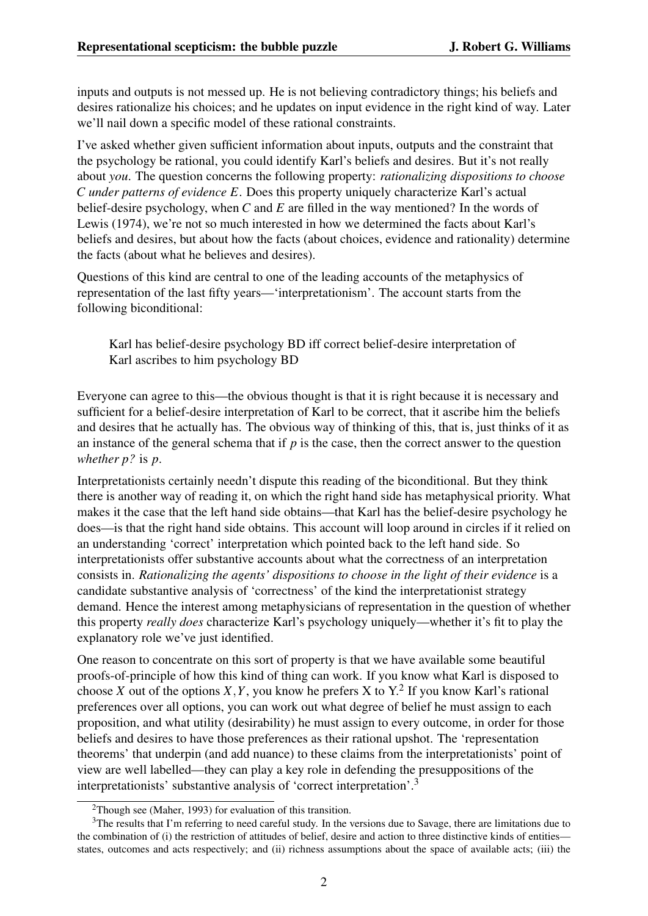inputs and outputs is not messed up. He is not believing contradictory things; his beliefs and desires rationalize his choices; and he updates on input evidence in the right kind of way. Later we'll nail down a specific model of these rational constraints.

I've asked whether given sufficient information about inputs, outputs and the constraint that the psychology be rational, you could identify Karl's beliefs and desires. But it's not really about *you*. The question concerns the following property: *rationalizing dispositions to choose C under patterns of evidence E*. Does this property uniquely characterize Karl's actual belief-desire psychology, when *C* and *E* are filled in the way mentioned? In the words of [Lewis](#page-18-0) [\(1974\)](#page-18-0), we're not so much interested in how we determined the facts about Karl's beliefs and desires, but about how the facts (about choices, evidence and rationality) determine the facts (about what he believes and desires).

Questions of this kind are central to one of the leading accounts of the metaphysics of representation of the last fifty years—'interpretationism'. The account starts from the following biconditional:

Karl has belief-desire psychology BD iff correct belief-desire interpretation of Karl ascribes to him psychology BD

Everyone can agree to this—the obvious thought is that it is right because it is necessary and sufficient for a belief-desire interpretation of Karl to be correct, that it ascribe him the beliefs and desires that he actually has. The obvious way of thinking of this, that is, just thinks of it as an instance of the general schema that if  $p$  is the case, then the correct answer to the question *whether p?* is *p*.

Interpretationists certainly needn't dispute this reading of the biconditional. But they think there is another way of reading it, on which the right hand side has metaphysical priority. What makes it the case that the left hand side obtains—that Karl has the belief-desire psychology he does—is that the right hand side obtains. This account will loop around in circles if it relied on an understanding 'correct' interpretation which pointed back to the left hand side. So interpretationists offer substantive accounts about what the correctness of an interpretation consists in. *Rationalizing the agents' dispositions to choose in the light of their evidence* is a candidate substantive analysis of 'correctness' of the kind the interpretationist strategy demand. Hence the interest among metaphysicians of representation in the question of whether this property *really does* characterize Karl's psychology uniquely—whether it's fit to play the explanatory role we've just identified.

One reason to concentrate on this sort of property is that we have available some beautiful proofs-of-principle of how this kind of thing can work. If you know what Karl is disposed to choose *X* out of the options *X*, *Y*, you know he prefers *X* to *Y*.<sup>[2](#page-1-0)</sup> If you know Karl's rational preferences over all options, you can work out what degree of belief he must assign to each proposition, and what utility (desirability) he must assign to every outcome, in order for those beliefs and desires to have those preferences as their rational upshot. The 'representation theorems' that underpin (and add nuance) to these claims from the interpretationists' point of view are well labelled—they can play a key role in defending the presuppositions of the interpretationists' substantive analysis of 'correct interpretation'.[3](#page-1-1)

<span id="page-1-1"></span><span id="page-1-0"></span><sup>2</sup>Though see [\(Maher,](#page-18-1) [1993\)](#page-18-1) for evaluation of this transition.

<sup>&</sup>lt;sup>3</sup>The results that I'm referring to need careful study. In the versions due to Savage, there are limitations due to the combination of (i) the restriction of attitudes of belief, desire and action to three distinctive kinds of entities states, outcomes and acts respectively; and (ii) richness assumptions about the space of available acts; (iii) the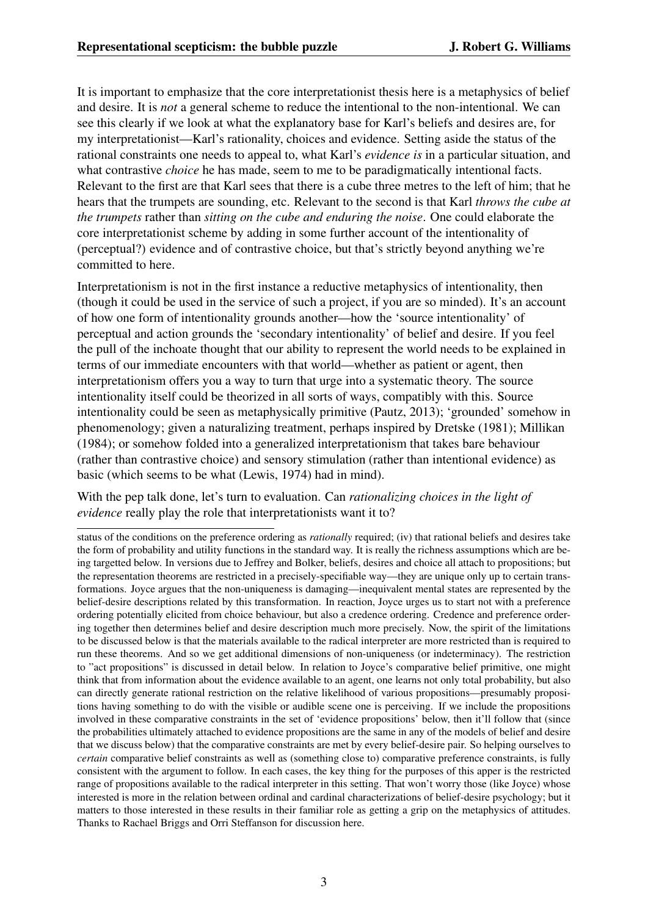It is important to emphasize that the core interpretationist thesis here is a metaphysics of belief and desire. It is *not* a general scheme to reduce the intentional to the non-intentional. We can see this clearly if we look at what the explanatory base for Karl's beliefs and desires are, for my interpretationist—Karl's rationality, choices and evidence. Setting aside the status of the rational constraints one needs to appeal to, what Karl's *evidence is* in a particular situation, and what contrastive *choice* he has made, seem to me to be paradigmatically intentional facts. Relevant to the first are that Karl sees that there is a cube three metres to the left of him; that he hears that the trumpets are sounding, etc. Relevant to the second is that Karl *throws the cube at the trumpets* rather than *sitting on the cube and enduring the noise*. One could elaborate the core interpretationist scheme by adding in some further account of the intentionality of (perceptual?) evidence and of contrastive choice, but that's strictly beyond anything we're committed to here.

Interpretationism is not in the first instance a reductive metaphysics of intentionality, then (though it could be used in the service of such a project, if you are so minded). It's an account of how one form of intentionality grounds another—how the 'source intentionality' of perceptual and action grounds the 'secondary intentionality' of belief and desire. If you feel the pull of the inchoate thought that our ability to represent the world needs to be explained in terms of our immediate encounters with that world—whether as patient or agent, then interpretationism offers you a way to turn that urge into a systematic theory. The source intentionality itself could be theorized in all sorts of ways, compatibly with this. Source intentionality could be seen as metaphysically primitive [\(Pautz,](#page-18-2) [2013\)](#page-18-2); 'grounded' somehow in phenomenology; given a naturalizing treatment, perhaps inspired by [Dretske](#page-18-3) [\(1981\)](#page-18-3); [Millikan](#page-18-4) [\(1984\)](#page-18-4); or somehow folded into a generalized interpretationism that takes bare behaviour (rather than contrastive choice) and sensory stimulation (rather than intentional evidence) as basic (which seems to be what [\(Lewis,](#page-18-0) [1974\)](#page-18-0) had in mind).

With the pep talk done, let's turn to evaluation. Can *rationalizing choices in the light of evidence* really play the role that interpretationists want it to?

status of the conditions on the preference ordering as *rationally* required; (iv) that rational beliefs and desires take the form of probability and utility functions in the standard way. It is really the richness assumptions which are being targetted below. In versions due to Jeffrey and Bolker, beliefs, desires and choice all attach to propositions; but the representation theorems are restricted in a precisely-specifiable way—they are unique only up to certain transformations. Joyce argues that the non-uniqueness is damaging—inequivalent mental states are represented by the belief-desire descriptions related by this transformation. In reaction, Joyce urges us to start not with a preference ordering potentially elicited from choice behaviour, but also a credence ordering. Credence and preference ordering together then determines belief and desire description much more precisely. Now, the spirit of the limitations to be discussed below is that the materials available to the radical interpreter are more restricted than is required to run these theorems. And so we get additional dimensions of non-uniqueness (or indeterminacy). The restriction to "act propositions" is discussed in detail below. In relation to Joyce's comparative belief primitive, one might think that from information about the evidence available to an agent, one learns not only total probability, but also can directly generate rational restriction on the relative likelihood of various propositions—presumably propositions having something to do with the visible or audible scene one is perceiving. If we include the propositions involved in these comparative constraints in the set of 'evidence propositions' below, then it'll follow that (since the probabilities ultimately attached to evidence propositions are the same in any of the models of belief and desire that we discuss below) that the comparative constraints are met by every belief-desire pair. So helping ourselves to *certain* comparative belief constraints as well as (something close to) comparative preference constraints, is fully consistent with the argument to follow. In each cases, the key thing for the purposes of this apper is the restricted range of propositions available to the radical interpreter in this setting. That won't worry those (like Joyce) whose interested is more in the relation between ordinal and cardinal characterizations of belief-desire psychology; but it matters to those interested in these results in their familiar role as getting a grip on the metaphysics of attitudes. Thanks to Rachael Briggs and Orri Steffanson for discussion here.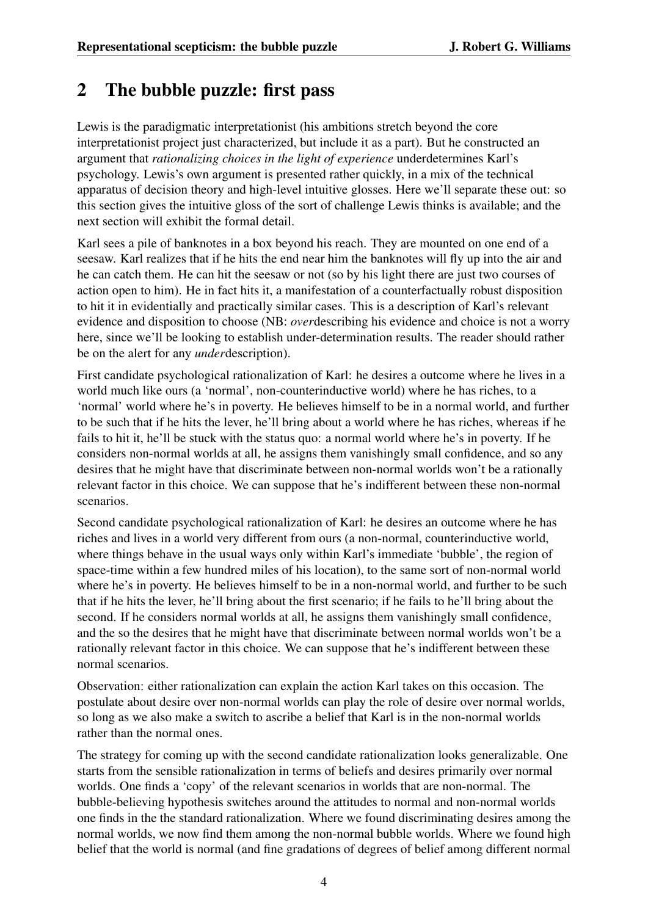## 2 The bubble puzzle: first pass

Lewis is the paradigmatic interpretationist (his ambitions stretch beyond the core interpretationist project just characterized, but include it as a part). But he constructed an argument that *rationalizing choices in the light of experience* underdetermines Karl's psychology. Lewis's own argument is presented rather quickly, in a mix of the technical apparatus of decision theory and high-level intuitive glosses. Here we'll separate these out: so this section gives the intuitive gloss of the sort of challenge Lewis thinks is available; and the next section will exhibit the formal detail.

Karl sees a pile of banknotes in a box beyond his reach. They are mounted on one end of a seesaw. Karl realizes that if he hits the end near him the banknotes will fly up into the air and he can catch them. He can hit the seesaw or not (so by his light there are just two courses of action open to him). He in fact hits it, a manifestation of a counterfactually robust disposition to hit it in evidentially and practically similar cases. This is a description of Karl's relevant evidence and disposition to choose (NB: *over*describing his evidence and choice is not a worry here, since we'll be looking to establish under-determination results. The reader should rather be on the alert for any *under*description).

First candidate psychological rationalization of Karl: he desires a outcome where he lives in a world much like ours (a 'normal', non-counterinductive world) where he has riches, to a 'normal' world where he's in poverty. He believes himself to be in a normal world, and further to be such that if he hits the lever, he'll bring about a world where he has riches, whereas if he fails to hit it, he'll be stuck with the status quo: a normal world where he's in poverty. If he considers non-normal worlds at all, he assigns them vanishingly small confidence, and so any desires that he might have that discriminate between non-normal worlds won't be a rationally relevant factor in this choice. We can suppose that he's indifferent between these non-normal scenarios.

Second candidate psychological rationalization of Karl: he desires an outcome where he has riches and lives in a world very different from ours (a non-normal, counterinductive world, where things behave in the usual ways only within Karl's immediate 'bubble', the region of space-time within a few hundred miles of his location), to the same sort of non-normal world where he's in poverty. He believes himself to be in a non-normal world, and further to be such that if he hits the lever, he'll bring about the first scenario; if he fails to he'll bring about the second. If he considers normal worlds at all, he assigns them vanishingly small confidence, and the so the desires that he might have that discriminate between normal worlds won't be a rationally relevant factor in this choice. We can suppose that he's indifferent between these normal scenarios.

Observation: either rationalization can explain the action Karl takes on this occasion. The postulate about desire over non-normal worlds can play the role of desire over normal worlds, so long as we also make a switch to ascribe a belief that Karl is in the non-normal worlds rather than the normal ones.

The strategy for coming up with the second candidate rationalization looks generalizable. One starts from the sensible rationalization in terms of beliefs and desires primarily over normal worlds. One finds a 'copy' of the relevant scenarios in worlds that are non-normal. The bubble-believing hypothesis switches around the attitudes to normal and non-normal worlds one finds in the the standard rationalization. Where we found discriminating desires among the normal worlds, we now find them among the non-normal bubble worlds. Where we found high belief that the world is normal (and fine gradations of degrees of belief among different normal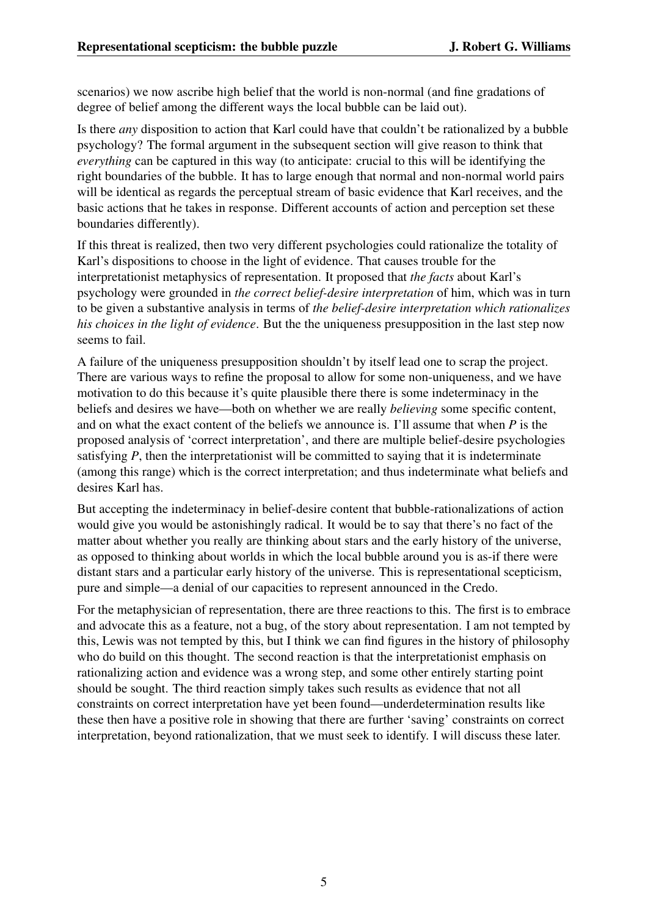scenarios) we now ascribe high belief that the world is non-normal (and fine gradations of degree of belief among the different ways the local bubble can be laid out).

Is there *any* disposition to action that Karl could have that couldn't be rationalized by a bubble psychology? The formal argument in the subsequent section will give reason to think that *everything* can be captured in this way (to anticipate: crucial to this will be identifying the right boundaries of the bubble. It has to large enough that normal and non-normal world pairs will be identical as regards the perceptual stream of basic evidence that Karl receives, and the basic actions that he takes in response. Different accounts of action and perception set these boundaries differently).

If this threat is realized, then two very different psychologies could rationalize the totality of Karl's dispositions to choose in the light of evidence. That causes trouble for the interpretationist metaphysics of representation. It proposed that *the facts* about Karl's psychology were grounded in *the correct belief-desire interpretation* of him, which was in turn to be given a substantive analysis in terms of *the belief-desire interpretation which rationalizes his choices in the light of evidence*. But the the uniqueness presupposition in the last step now seems to fail.

A failure of the uniqueness presupposition shouldn't by itself lead one to scrap the project. There are various ways to refine the proposal to allow for some non-uniqueness, and we have motivation to do this because it's quite plausible there there is some indeterminacy in the beliefs and desires we have—both on whether we are really *believing* some specific content, and on what the exact content of the beliefs we announce is. I'll assume that when *P* is the proposed analysis of 'correct interpretation', and there are multiple belief-desire psychologies satisfying *P*, then the interpretationist will be committed to saying that it is indeterminate (among this range) which is the correct interpretation; and thus indeterminate what beliefs and desires Karl has.

But accepting the indeterminacy in belief-desire content that bubble-rationalizations of action would give you would be astonishingly radical. It would be to say that there's no fact of the matter about whether you really are thinking about stars and the early history of the universe, as opposed to thinking about worlds in which the local bubble around you is as-if there were distant stars and a particular early history of the universe. This is representational scepticism, pure and simple—a denial of our capacities to represent announced in the Credo.

For the metaphysician of representation, there are three reactions to this. The first is to embrace and advocate this as a feature, not a bug, of the story about representation. I am not tempted by this, Lewis was not tempted by this, but I think we can find figures in the history of philosophy who do build on this thought. The second reaction is that the interpretationist emphasis on rationalizing action and evidence was a wrong step, and some other entirely starting point should be sought. The third reaction simply takes such results as evidence that not all constraints on correct interpretation have yet been found—underdetermination results like these then have a positive role in showing that there are further 'saving' constraints on correct interpretation, beyond rationalization, that we must seek to identify. I will discuss these later.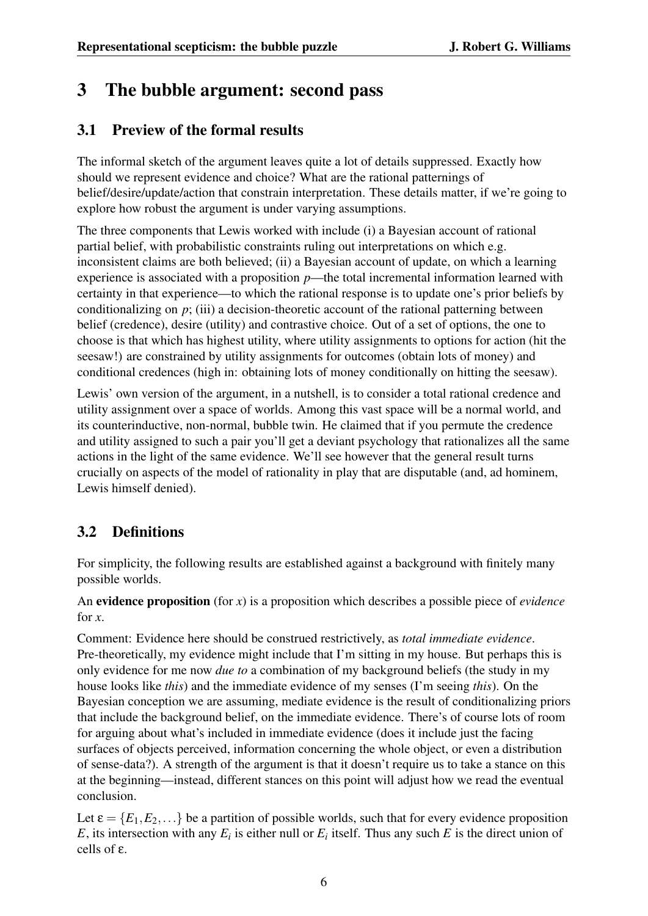# 3 The bubble argument: second pass

### 3.1 Preview of the formal results

The informal sketch of the argument leaves quite a lot of details suppressed. Exactly how should we represent evidence and choice? What are the rational patternings of belief/desire/update/action that constrain interpretation. These details matter, if we're going to explore how robust the argument is under varying assumptions.

The three components that Lewis worked with include (i) a Bayesian account of rational partial belief, with probabilistic constraints ruling out interpretations on which e.g. inconsistent claims are both believed; (ii) a Bayesian account of update, on which a learning experience is associated with a proposition *p*—the total incremental information learned with certainty in that experience—to which the rational response is to update one's prior beliefs by conditionalizing on *p*; (iii) a decision-theoretic account of the rational patterning between belief (credence), desire (utility) and contrastive choice. Out of a set of options, the one to choose is that which has highest utility, where utility assignments to options for action (hit the seesaw!) are constrained by utility assignments for outcomes (obtain lots of money) and conditional credences (high in: obtaining lots of money conditionally on hitting the seesaw).

Lewis' own version of the argument, in a nutshell, is to consider a total rational credence and utility assignment over a space of worlds. Among this vast space will be a normal world, and its counterinductive, non-normal, bubble twin. He claimed that if you permute the credence and utility assigned to such a pair you'll get a deviant psychology that rationalizes all the same actions in the light of the same evidence. We'll see however that the general result turns crucially on aspects of the model of rationality in play that are disputable (and, ad hominem, Lewis himself denied).

### 3.2 Definitions

For simplicity, the following results are established against a background with finitely many possible worlds.

An evidence proposition (for *x*) is a proposition which describes a possible piece of *evidence* for *x*.

Comment: Evidence here should be construed restrictively, as *total immediate evidence*. Pre-theoretically, my evidence might include that I'm sitting in my house. But perhaps this is only evidence for me now *due to* a combination of my background beliefs (the study in my house looks like *this*) and the immediate evidence of my senses (I'm seeing *this*). On the Bayesian conception we are assuming, mediate evidence is the result of conditionalizing priors that include the background belief, on the immediate evidence. There's of course lots of room for arguing about what's included in immediate evidence (does it include just the facing surfaces of objects perceived, information concerning the whole object, or even a distribution of sense-data?). A strength of the argument is that it doesn't require us to take a stance on this at the beginning—instead, different stances on this point will adjust how we read the eventual conclusion.

Let  $\varepsilon = \{E_1, E_2, ...\}$  be a partition of possible worlds, such that for every evidence proposition *E*, its intersection with any  $E_i$  is either null or  $E_i$  itself. Thus any such *E* is the direct union of cells of ε.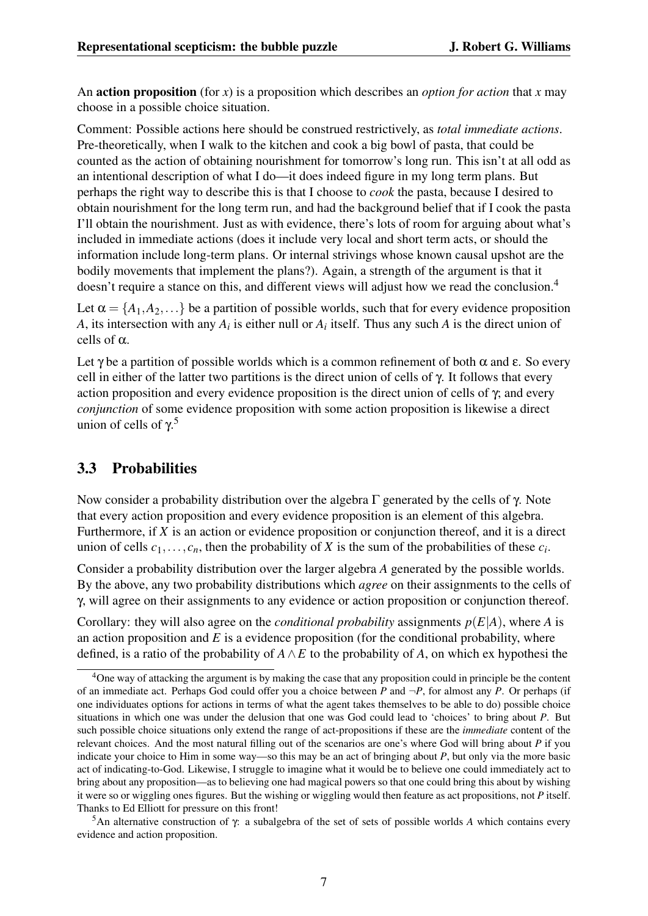An action proposition (for *x*) is a proposition which describes an *option for action* that *x* may choose in a possible choice situation.

Comment: Possible actions here should be construed restrictively, as *total immediate actions*. Pre-theoretically, when I walk to the kitchen and cook a big bowl of pasta, that could be counted as the action of obtaining nourishment for tomorrow's long run. This isn't at all odd as an intentional description of what I do—it does indeed figure in my long term plans. But perhaps the right way to describe this is that I choose to *cook* the pasta, because I desired to obtain nourishment for the long term run, and had the background belief that if I cook the pasta I'll obtain the nourishment. Just as with evidence, there's lots of room for arguing about what's included in immediate actions (does it include very local and short term acts, or should the information include long-term plans. Or internal strivings whose known causal upshot are the bodily movements that implement the plans?). Again, a strength of the argument is that it doesn't require a stance on this, and different views will adjust how we read the conclusion.<sup>[4](#page-6-0)</sup>

Let  $\alpha = \{A_1, A_2, \ldots\}$  be a partition of possible worlds, such that for every evidence proposition *A*, its intersection with any  $A_i$  is either null or  $A_i$  itself. Thus any such  $A$  is the direct union of cells of  $\alpha$ .

Let  $\gamma$  be a partition of possible worlds which is a common refinement of both  $\alpha$  and  $\varepsilon$ . So every cell in either of the latter two partitions is the direct union of cells of γ. It follows that every action proposition and every evidence proposition is the direct union of cells of  $\gamma$ ; and every *conjunction* of some evidence proposition with some action proposition is likewise a direct union of cells of  $\gamma$ .<sup>[5](#page-6-1)</sup>

### 3.3 Probabilities

Now consider a probability distribution over the algebra  $\Gamma$  generated by the cells of  $\gamma$ . Note that every action proposition and every evidence proposition is an element of this algebra. Furthermore, if *X* is an action or evidence proposition or conjunction thereof, and it is a direct union of cells  $c_1, \ldots, c_n$ , then the probability of *X* is the sum of the probabilities of these  $c_i$ .

Consider a probability distribution over the larger algebra *A* generated by the possible worlds. By the above, any two probability distributions which *agree* on their assignments to the cells of γ, will agree on their assignments to any evidence or action proposition or conjunction thereof.

Corollary: they will also agree on the *conditional probability* assignments  $p(E|A)$ , where *A* is an action proposition and *E* is a evidence proposition (for the conditional probability, where defined, is a ratio of the probability of  $A \wedge E$  to the probability of *A*, on which ex hypothesi the

<span id="page-6-1"></span><sup>5</sup>An alternative construction of γ: a subalgebra of the set of sets of possible worlds *A* which contains every evidence and action proposition.

<span id="page-6-0"></span> $4$ One way of attacking the argument is by making the case that any proposition could in principle be the content of an immediate act. Perhaps God could offer you a choice between *P* and ¬*P*, for almost any *P*. Or perhaps (if one individuates options for actions in terms of what the agent takes themselves to be able to do) possible choice situations in which one was under the delusion that one was God could lead to 'choices' to bring about *P*. But such possible choice situations only extend the range of act-propositions if these are the *immediate* content of the relevant choices. And the most natural filling out of the scenarios are one's where God will bring about *P* if you indicate your choice to Him in some way—so this may be an act of bringing about *P*, but only via the more basic act of indicating-to-God. Likewise, I struggle to imagine what it would be to believe one could immediately act to bring about any proposition—as to believing one had magical powers so that one could bring this about by wishing it were so or wiggling ones figures. But the wishing or wiggling would then feature as act propositions, not *P* itself. Thanks to Ed Elliott for pressure on this front!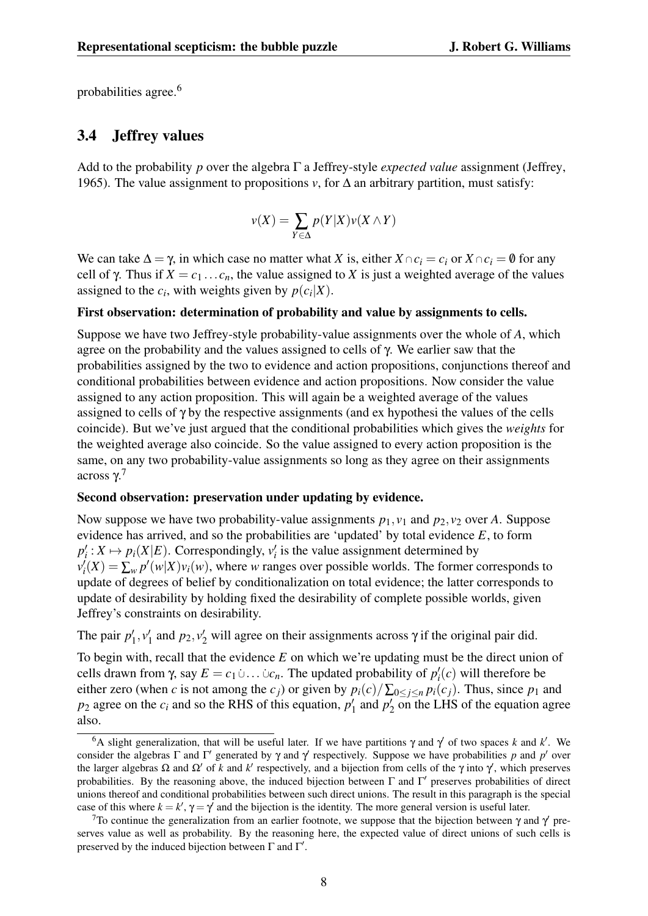probabilities agree.[6](#page-7-0)

### 3.4 Jeffrey values

Add to the probability *p* over the algebra Γ a Jeffrey-style *expected value* assignment [\(Jeffrey,](#page-18-5) [1965\)](#page-18-5). The value assignment to propositions *v*, for ∆ an arbitrary partition, must satisfy:

$$
v(X) = \sum_{Y \in \Delta} p(Y|X)v(X \wedge Y)
$$

We can take  $\Delta = \gamma$ , in which case no matter what *X* is, either  $X \cap c_i = c_i$  or  $X \cap c_i = \emptyset$  for any cell of  $\gamma$ . Thus if  $X = c_1 \dots c_n$ , the value assigned to X is just a weighted average of the values assigned to the  $c_i$ , with weights given by  $p(c_i|X)$ .

#### First observation: determination of probability and value by assignments to cells.

Suppose we have two Jeffrey-style probability-value assignments over the whole of *A*, which agree on the probability and the values assigned to cells of γ. We earlier saw that the probabilities assigned by the two to evidence and action propositions, conjunctions thereof and conditional probabilities between evidence and action propositions. Now consider the value assigned to any action proposition. This will again be a weighted average of the values assigned to cells of  $\gamma$  by the respective assignments (and ex hypothesi the values of the cells coincide). But we've just argued that the conditional probabilities which gives the *weights* for the weighted average also coincide. So the value assigned to every action proposition is the same, on any two probability-value assignments so long as they agree on their assignments across γ. [7](#page-7-1)

#### Second observation: preservation under updating by evidence.

Now suppose we have two probability-value assignments  $p_1$ ,  $v_1$  and  $p_2$ ,  $v_2$  over A. Suppose evidence has arrived, and so the probabilities are 'updated' by total evidence *E*, to form  $p'_i: X \mapsto p_i(X|E)$ . Correspondingly,  $v'_i$  is the value assignment determined by  $v_i'(X) = \sum_w p'(w|X)v_i(w)$ , where *w* ranges over possible worlds. The former corresponds to update of degrees of belief by conditionalization on total evidence; the latter corresponds to update of desirability by holding fixed the desirability of complete possible worlds, given Jeffrey's constraints on desirability.

The pair  $p_1$ <sup>'</sup>  $'_{1},v'_{1}$  $\gamma_1'$  and  $p_2, v_2'$  will agree on their assignments across  $\gamma$  if the original pair did.

To begin with, recall that the evidence *E* on which we're updating must be the direct union of cells drawn from  $\gamma$ , say  $E = c_1 \cup ... \cup c_n$ . The updated probability of  $p'_i(c)$  will therefore be either zero (when *c* is not among the *c<sub>j</sub>*) or given by  $p_i(c)/\sum_{0 \le j \le n} p_i(c_j)$ . Thus, since  $p_1$  and  $p_2$  agree on the  $c_i$  and so the RHS of this equation,  $p_1$  $\frac{1}{1}$  and  $p_2$  $\frac{1}{2}$  on the LHS of the equation agree also.

<span id="page-7-0"></span><sup>&</sup>lt;sup>6</sup>A slight generalization, that will be useful later. If we have partitions  $\gamma$  and  $\gamma'$  of two spaces *k* and *k'*. We consider the algebras  $\Gamma$  and  $\Gamma'$  generated by  $\gamma$  and  $\gamma'$  respectively. Suppose we have probabilities p and p' over the larger algebras  $\Omega$  and  $\Omega'$  of *k* and *k'* respectively, and a bijection from cells of the γ into γ', which preserves probabilities. By the reasoning above, the induced bijection between  $\Gamma$  and  $\Gamma'$  preserves probabilities of direct unions thereof and conditional probabilities between such direct unions. The result in this paragraph is the special case of this where  $k = k'$ ,  $\gamma = \gamma'$  and the bijection is the identity. The more general version is useful later.

<span id="page-7-1"></span><sup>&</sup>lt;sup>7</sup>To continue the generalization from an earlier footnote, we suppose that the bijection between  $\gamma$  and  $\gamma'$  preserves value as well as probability. By the reasoning here, the expected value of direct unions of such cells is preserved by the induced bijection between  $\Gamma$  and  $\Gamma'$ .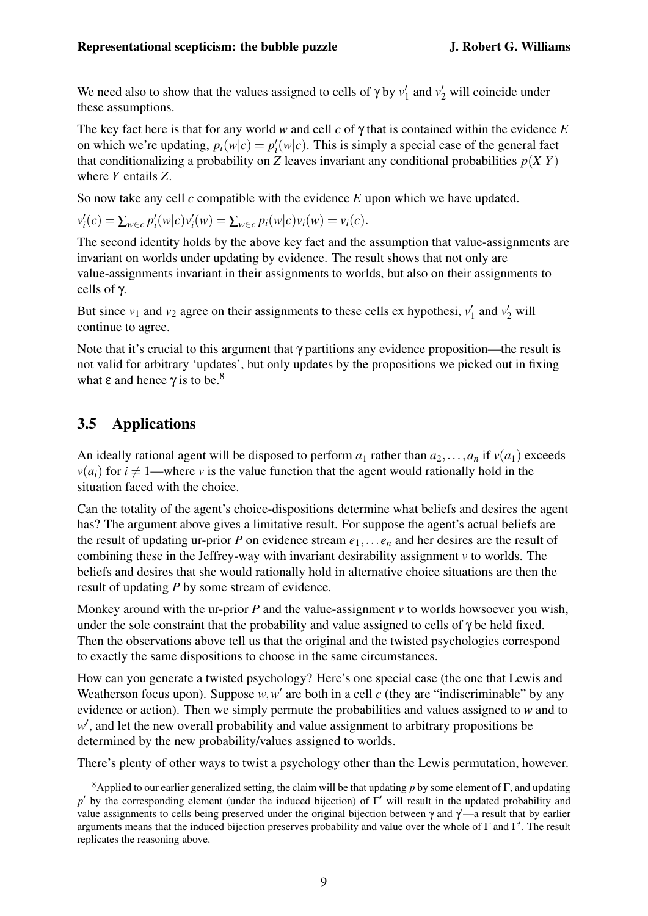We need also to show that the values assigned to cells of  $\gamma$  by  $v_1$  $v'_1$  and  $v'_2$  will coincide under these assumptions.

The key fact here is that for any world *w* and cell *c* of γ that is contained within the evidence *E* on which we're updating,  $p_i(w|c) = p'_i(w|c)$ . This is simply a special case of the general fact that conditionalizing a probability on *Z* leaves invariant any conditional probabilities  $p(X|Y)$ where *Y* entails *Z*.

So now take any cell *c* compatible with the evidence *E* upon which we have updated.

$$
v'_{i}(c) = \sum_{w \in c} p'_{i}(w|c) v'_{i}(w) = \sum_{w \in c} p_{i}(w|c) v_{i}(w) = v_{i}(c).
$$

The second identity holds by the above key fact and the assumption that value-assignments are invariant on worlds under updating by evidence. The result shows that not only are value-assignments invariant in their assignments to worlds, but also on their assignments to cells of γ.

But since  $v_1$  and  $v_2$  agree on their assignments to these cells ex hypothesi,  $v_1$  $v'_1$  and  $v'_2$  will continue to agree.

Note that it's crucial to this argument that  $\gamma$  partitions any evidence proposition—the result is not valid for arbitrary 'updates', but only updates by the propositions we picked out in fixing what  $\varepsilon$  and hence  $\gamma$  is to be.<sup>[8](#page-8-0)</sup>

### 3.5 Applications

An ideally rational agent will be disposed to perform  $a_1$  rather than  $a_2, \ldots, a_n$  if  $v(a_1)$  exceeds  $v(a_i)$  for  $i \neq 1$ —where *v* is the value function that the agent would rationally hold in the situation faced with the choice.

Can the totality of the agent's choice-dispositions determine what beliefs and desires the agent has? The argument above gives a limitative result. For suppose the agent's actual beliefs are the result of updating ur-prior *P* on evidence stream  $e_1, \ldots e_n$  and her desires are the result of combining these in the Jeffrey-way with invariant desirability assignment *v* to worlds. The beliefs and desires that she would rationally hold in alternative choice situations are then the result of updating *P* by some stream of evidence.

Monkey around with the ur-prior  $P$  and the value-assignment  $\nu$  to worlds howsoever you wish, under the sole constraint that the probability and value assigned to cells of  $\gamma$  be held fixed. Then the observations above tell us that the original and the twisted psychologies correspond to exactly the same dispositions to choose in the same circumstances.

How can you generate a twisted psychology? Here's one special case (the one that Lewis and Weatherson focus upon). Suppose  $w, w'$  are both in a cell  $c$  (they are "indiscriminable" by any evidence or action). Then we simply permute the probabilities and values assigned to *w* and to w', and let the new overall probability and value assignment to arbitrary propositions be determined by the new probability/values assigned to worlds.

There's plenty of other ways to twist a psychology other than the Lewis permutation, however.

<span id="page-8-0"></span><sup>8</sup>Applied to our earlier generalized setting, the claim will be that updating *p* by some element of Γ, and updating  $p'$  by the corresponding element (under the induced bijection) of  $\Gamma'$  will result in the updated probability and value assignments to cells being preserved under the original bijection between  $\gamma$  and  $\gamma$ —a result that by earlier arguments means that the induced bijection preserves probability and value over the whole of  $\Gamma$  and  $\Gamma'$ . The result replicates the reasoning above.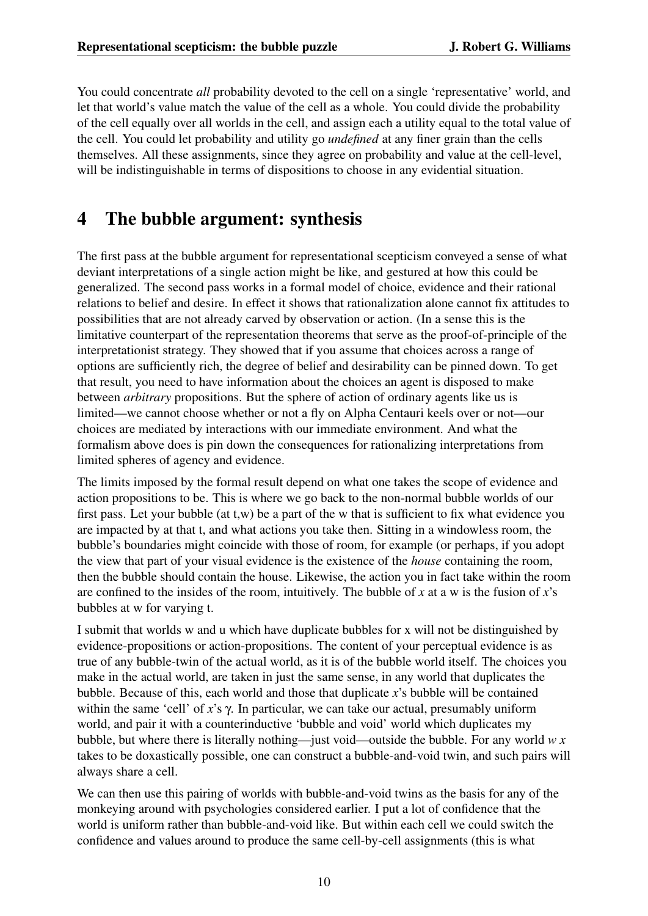You could concentrate *all* probability devoted to the cell on a single 'representative' world, and let that world's value match the value of the cell as a whole. You could divide the probability of the cell equally over all worlds in the cell, and assign each a utility equal to the total value of the cell. You could let probability and utility go *undefined* at any finer grain than the cells themselves. All these assignments, since they agree on probability and value at the cell-level, will be indistinguishable in terms of dispositions to choose in any evidential situation.

## 4 The bubble argument: synthesis

The first pass at the bubble argument for representational scepticism conveyed a sense of what deviant interpretations of a single action might be like, and gestured at how this could be generalized. The second pass works in a formal model of choice, evidence and their rational relations to belief and desire. In effect it shows that rationalization alone cannot fix attitudes to possibilities that are not already carved by observation or action. (In a sense this is the limitative counterpart of the representation theorems that serve as the proof-of-principle of the interpretationist strategy. They showed that if you assume that choices across a range of options are sufficiently rich, the degree of belief and desirability can be pinned down. To get that result, you need to have information about the choices an agent is disposed to make between *arbitrary* propositions. But the sphere of action of ordinary agents like us is limited—we cannot choose whether or not a fly on Alpha Centauri keels over or not—our choices are mediated by interactions with our immediate environment. And what the formalism above does is pin down the consequences for rationalizing interpretations from limited spheres of agency and evidence.

The limits imposed by the formal result depend on what one takes the scope of evidence and action propositions to be. This is where we go back to the non-normal bubble worlds of our first pass. Let your bubble (at t,w) be a part of the w that is sufficient to fix what evidence you are impacted by at that t, and what actions you take then. Sitting in a windowless room, the bubble's boundaries might coincide with those of room, for example (or perhaps, if you adopt the view that part of your visual evidence is the existence of the *house* containing the room, then the bubble should contain the house. Likewise, the action you in fact take within the room are confined to the insides of the room, intuitively. The bubble of *x* at a w is the fusion of *x*'s bubbles at w for varying t.

I submit that worlds w and u which have duplicate bubbles for x will not be distinguished by evidence-propositions or action-propositions. The content of your perceptual evidence is as true of any bubble-twin of the actual world, as it is of the bubble world itself. The choices you make in the actual world, are taken in just the same sense, in any world that duplicates the bubble. Because of this, each world and those that duplicate *x*'s bubble will be contained within the same 'cell' of *x*'s γ. In particular, we can take our actual, presumably uniform world, and pair it with a counterinductive 'bubble and void' world which duplicates my bubble, but where there is literally nothing—just void—outside the bubble. For any world *w x* takes to be doxastically possible, one can construct a bubble-and-void twin, and such pairs will always share a cell.

We can then use this pairing of worlds with bubble-and-void twins as the basis for any of the monkeying around with psychologies considered earlier. I put a lot of confidence that the world is uniform rather than bubble-and-void like. But within each cell we could switch the confidence and values around to produce the same cell-by-cell assignments (this is what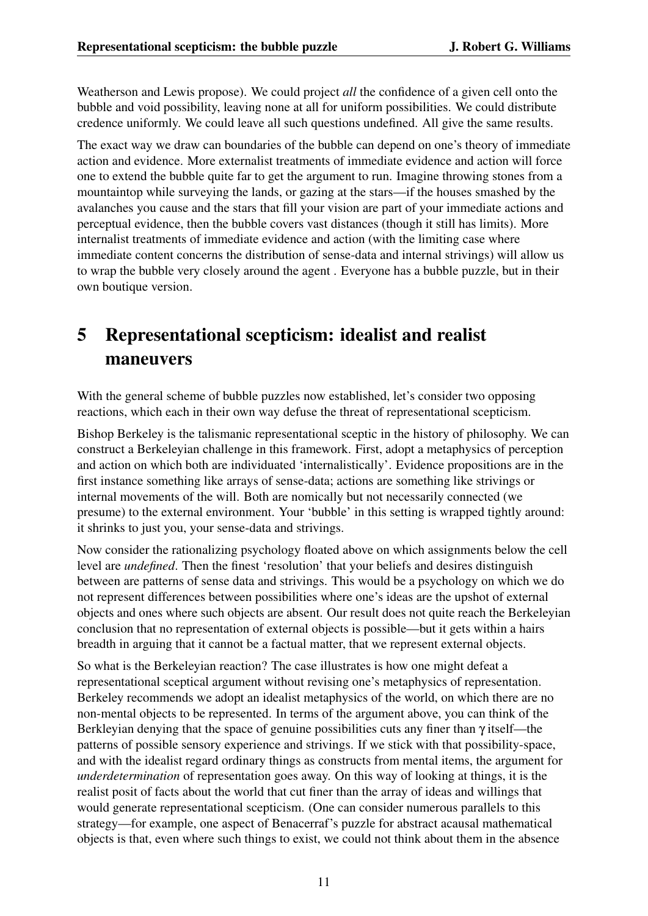Weatherson and Lewis propose). We could project *all* the confidence of a given cell onto the bubble and void possibility, leaving none at all for uniform possibilities. We could distribute credence uniformly. We could leave all such questions undefined. All give the same results.

The exact way we draw can boundaries of the bubble can depend on one's theory of immediate action and evidence. More externalist treatments of immediate evidence and action will force one to extend the bubble quite far to get the argument to run. Imagine throwing stones from a mountaintop while surveying the lands, or gazing at the stars—if the houses smashed by the avalanches you cause and the stars that fill your vision are part of your immediate actions and perceptual evidence, then the bubble covers vast distances (though it still has limits). More internalist treatments of immediate evidence and action (with the limiting case where immediate content concerns the distribution of sense-data and internal strivings) will allow us to wrap the bubble very closely around the agent . Everyone has a bubble puzzle, but in their own boutique version.

# 5 Representational scepticism: idealist and realist maneuvers

With the general scheme of bubble puzzles now established, let's consider two opposing reactions, which each in their own way defuse the threat of representational scepticism.

Bishop Berkeley is the talismanic representational sceptic in the history of philosophy. We can construct a Berkeleyian challenge in this framework. First, adopt a metaphysics of perception and action on which both are individuated 'internalistically'. Evidence propositions are in the first instance something like arrays of sense-data; actions are something like strivings or internal movements of the will. Both are nomically but not necessarily connected (we presume) to the external environment. Your 'bubble' in this setting is wrapped tightly around: it shrinks to just you, your sense-data and strivings.

Now consider the rationalizing psychology floated above on which assignments below the cell level are *undefined*. Then the finest 'resolution' that your beliefs and desires distinguish between are patterns of sense data and strivings. This would be a psychology on which we do not represent differences between possibilities where one's ideas are the upshot of external objects and ones where such objects are absent. Our result does not quite reach the Berkeleyian conclusion that no representation of external objects is possible—but it gets within a hairs breadth in arguing that it cannot be a factual matter, that we represent external objects.

So what is the Berkeleyian reaction? The case illustrates is how one might defeat a representational sceptical argument without revising one's metaphysics of representation. Berkeley recommends we adopt an idealist metaphysics of the world, on which there are no non-mental objects to be represented. In terms of the argument above, you can think of the Berkleyian denying that the space of genuine possibilities cuts any finer than  $\gamma$  itself—the patterns of possible sensory experience and strivings. If we stick with that possibility-space, and with the idealist regard ordinary things as constructs from mental items, the argument for *underdetermination* of representation goes away. On this way of looking at things, it is the realist posit of facts about the world that cut finer than the array of ideas and willings that would generate representational scepticism. (One can consider numerous parallels to this strategy—for example, one aspect of Benacerraf's puzzle for abstract acausal mathematical objects is that, even where such things to exist, we could not think about them in the absence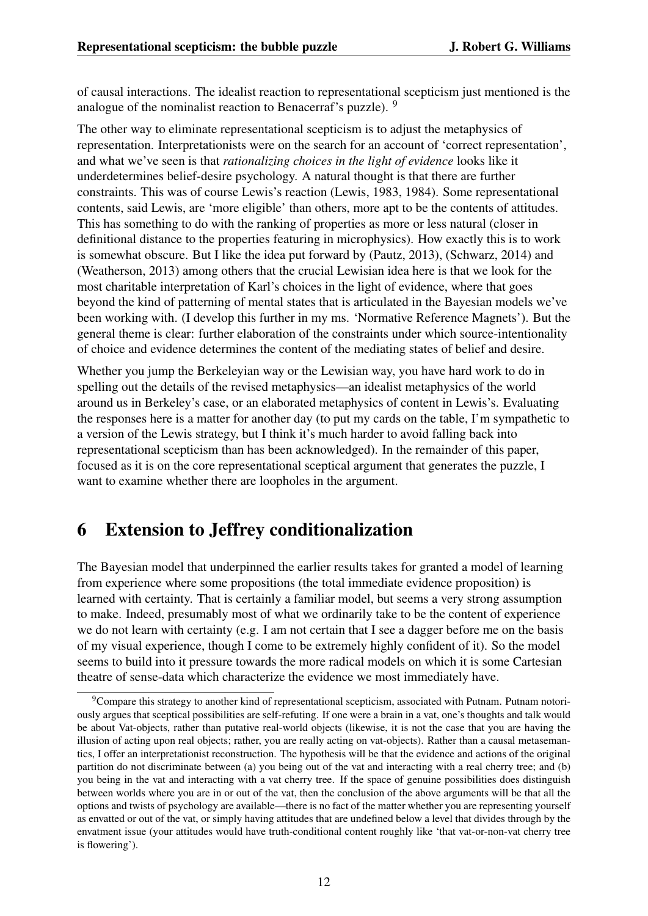of causal interactions. The idealist reaction to representational scepticism just mentioned is the analogue of the nominalist reaction to Benacerraf's puzzle). <sup>[9](#page-11-0)</sup>

The other way to eliminate representational scepticism is to adjust the metaphysics of representation. Interpretationists were on the search for an account of 'correct representation', and what we've seen is that *rationalizing choices in the light of evidence* looks like it underdetermines belief-desire psychology. A natural thought is that there are further constraints. This was of course Lewis's reaction [\(Lewis,](#page-18-6) [1983,](#page-18-6) [1984\)](#page-18-7). Some representational contents, said Lewis, are 'more eligible' than others, more apt to be the contents of attitudes. This has something to do with the ranking of properties as more or less natural (closer in definitional distance to the properties featuring in microphysics). How exactly this is to work is somewhat obscure. But I like the idea put forward by [\(Pautz,](#page-18-2) [2013\)](#page-18-2), [\(Schwarz,](#page-18-8) [2014\)](#page-18-8) and [\(Weatherson,](#page-19-0) [2013\)](#page-19-0) among others that the crucial Lewisian idea here is that we look for the most charitable interpretation of Karl's choices in the light of evidence, where that goes beyond the kind of patterning of mental states that is articulated in the Bayesian models we've been working with. (I develop this further in my ms. 'Normative Reference Magnets'). But the general theme is clear: further elaboration of the constraints under which source-intentionality of choice and evidence determines the content of the mediating states of belief and desire.

Whether you jump the Berkeleyian way or the Lewisian way, you have hard work to do in spelling out the details of the revised metaphysics—an idealist metaphysics of the world around us in Berkeley's case, or an elaborated metaphysics of content in Lewis's. Evaluating the responses here is a matter for another day (to put my cards on the table, I'm sympathetic to a version of the Lewis strategy, but I think it's much harder to avoid falling back into representational scepticism than has been acknowledged). In the remainder of this paper, focused as it is on the core representational sceptical argument that generates the puzzle, I want to examine whether there are loopholes in the argument.

## 6 Extension to Jeffrey conditionalization

The Bayesian model that underpinned the earlier results takes for granted a model of learning from experience where some propositions (the total immediate evidence proposition) is learned with certainty. That is certainly a familiar model, but seems a very strong assumption to make. Indeed, presumably most of what we ordinarily take to be the content of experience we do not learn with certainty (e.g. I am not certain that I see a dagger before me on the basis of my visual experience, though I come to be extremely highly confident of it). So the model seems to build into it pressure towards the more radical models on which it is some Cartesian theatre of sense-data which characterize the evidence we most immediately have.

<span id="page-11-0"></span><sup>&</sup>lt;sup>9</sup>Compare this strategy to another kind of representational scepticism, associated with Putnam. Putnam notoriously argues that sceptical possibilities are self-refuting. If one were a brain in a vat, one's thoughts and talk would be about Vat-objects, rather than putative real-world objects (likewise, it is not the case that you are having the illusion of acting upon real objects; rather, you are really acting on vat-objects). Rather than a causal metasemantics, I offer an interpretationist reconstruction. The hypothesis will be that the evidence and actions of the original partition do not discriminate between (a) you being out of the vat and interacting with a real cherry tree; and (b) you being in the vat and interacting with a vat cherry tree. If the space of genuine possibilities does distinguish between worlds where you are in or out of the vat, then the conclusion of the above arguments will be that all the options and twists of psychology are available—there is no fact of the matter whether you are representing yourself as envatted or out of the vat, or simply having attitudes that are undefined below a level that divides through by the envatment issue (your attitudes would have truth-conditional content roughly like 'that vat-or-non-vat cherry tree is flowering').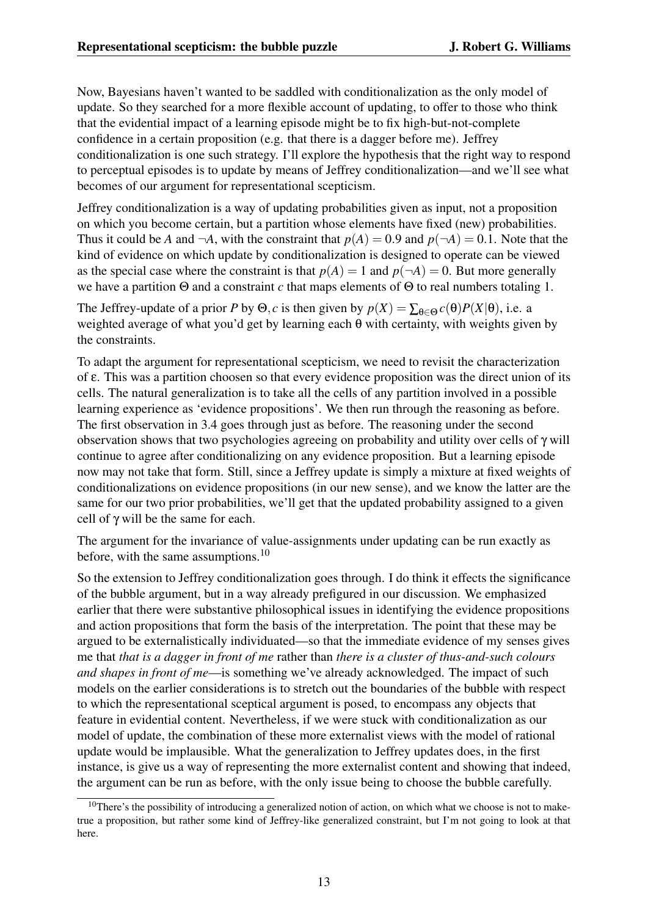Now, Bayesians haven't wanted to be saddled with conditionalization as the only model of update. So they searched for a more flexible account of updating, to offer to those who think that the evidential impact of a learning episode might be to fix high-but-not-complete confidence in a certain proposition (e.g. that there is a dagger before me). Jeffrey conditionalization is one such strategy. I'll explore the hypothesis that the right way to respond to perceptual episodes is to update by means of Jeffrey conditionalization—and we'll see what becomes of our argument for representational scepticism.

Jeffrey conditionalization is a way of updating probabilities given as input, not a proposition on which you become certain, but a partition whose elements have fixed (new) probabilities. Thus it could be *A* and  $\neg A$ , with the constraint that  $p(A) = 0.9$  and  $p(\neg A) = 0.1$ . Note that the kind of evidence on which update by conditionalization is designed to operate can be viewed as the special case where the constraint is that  $p(A) = 1$  and  $p(\neg A) = 0$ . But more generally we have a partition Θ and a constraint *c* that maps elements of Θ to real numbers totaling 1.

The Jeffrey-update of a prior *P* by  $\Theta$ , *c* is then given by  $p(X) = \sum_{\theta \in \Theta} c(\theta) P(X|\theta)$ , i.e. a weighted average of what you'd get by learning each θ with certainty, with weights given by the constraints.

To adapt the argument for representational scepticism, we need to revisit the characterization of ε. This was a partition choosen so that every evidence proposition was the direct union of its cells. The natural generalization is to take all the cells of any partition involved in a possible learning experience as 'evidence propositions'. We then run through the reasoning as before. The first observation in 3.4 goes through just as before. The reasoning under the second observation shows that two psychologies agreeing on probability and utility over cells of γ will continue to agree after conditionalizing on any evidence proposition. But a learning episode now may not take that form. Still, since a Jeffrey update is simply a mixture at fixed weights of conditionalizations on evidence propositions (in our new sense), and we know the latter are the same for our two prior probabilities, we'll get that the updated probability assigned to a given cell of γ will be the same for each.

The argument for the invariance of value-assignments under updating can be run exactly as before, with the same assumptions. $10$ 

So the extension to Jeffrey conditionalization goes through. I do think it effects the significance of the bubble argument, but in a way already prefigured in our discussion. We emphasized earlier that there were substantive philosophical issues in identifying the evidence propositions and action propositions that form the basis of the interpretation. The point that these may be argued to be externalistically individuated—so that the immediate evidence of my senses gives me that *that is a dagger in front of me* rather than *there is a cluster of thus-and-such colours and shapes in front of me*—is something we've already acknowledged. The impact of such models on the earlier considerations is to stretch out the boundaries of the bubble with respect to which the representational sceptical argument is posed, to encompass any objects that feature in evidential content. Nevertheless, if we were stuck with conditionalization as our model of update, the combination of these more externalist views with the model of rational update would be implausible. What the generalization to Jeffrey updates does, in the first instance, is give us a way of representing the more externalist content and showing that indeed, the argument can be run as before, with the only issue being to choose the bubble carefully.

<span id="page-12-0"></span> $10$ There's the possibility of introducing a generalized notion of action, on which what we choose is not to maketrue a proposition, but rather some kind of Jeffrey-like generalized constraint, but I'm not going to look at that here.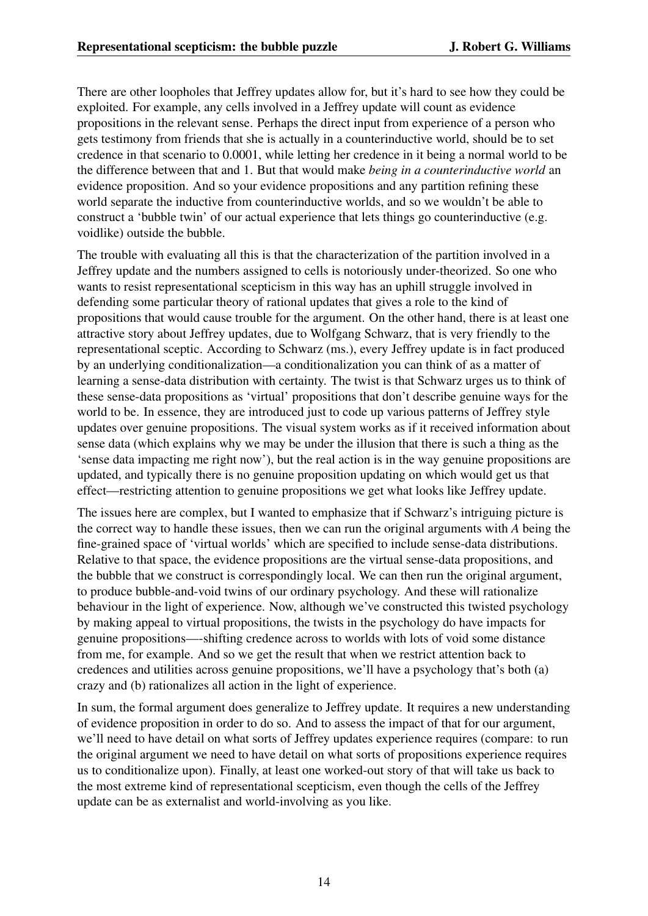There are other loopholes that Jeffrey updates allow for, but it's hard to see how they could be exploited. For example, any cells involved in a Jeffrey update will count as evidence propositions in the relevant sense. Perhaps the direct input from experience of a person who gets testimony from friends that she is actually in a counterinductive world, should be to set credence in that scenario to 0.0001, while letting her credence in it being a normal world to be the difference between that and 1. But that would make *being in a counterinductive world* an evidence proposition. And so your evidence propositions and any partition refining these world separate the inductive from counterinductive worlds, and so we wouldn't be able to construct a 'bubble twin' of our actual experience that lets things go counterinductive (e.g. voidlike) outside the bubble.

The trouble with evaluating all this is that the characterization of the partition involved in a Jeffrey update and the numbers assigned to cells is notoriously under-theorized. So one who wants to resist representational scepticism in this way has an uphill struggle involved in defending some particular theory of rational updates that gives a role to the kind of propositions that would cause trouble for the argument. On the other hand, there is at least one attractive story about Jeffrey updates, due to Wolfgang Schwarz, that is very friendly to the representational sceptic. According to [Schwarz](#page-18-9) [\(ms.\)](#page-18-9), every Jeffrey update is in fact produced by an underlying conditionalization—a conditionalization you can think of as a matter of learning a sense-data distribution with certainty. The twist is that Schwarz urges us to think of these sense-data propositions as 'virtual' propositions that don't describe genuine ways for the world to be. In essence, they are introduced just to code up various patterns of Jeffrey style updates over genuine propositions. The visual system works as if it received information about sense data (which explains why we may be under the illusion that there is such a thing as the 'sense data impacting me right now'), but the real action is in the way genuine propositions are updated, and typically there is no genuine proposition updating on which would get us that effect—restricting attention to genuine propositions we get what looks like Jeffrey update.

The issues here are complex, but I wanted to emphasize that if Schwarz's intriguing picture is the correct way to handle these issues, then we can run the original arguments with *A* being the fine-grained space of 'virtual worlds' which are specified to include sense-data distributions. Relative to that space, the evidence propositions are the virtual sense-data propositions, and the bubble that we construct is correspondingly local. We can then run the original argument, to produce bubble-and-void twins of our ordinary psychology. And these will rationalize behaviour in the light of experience. Now, although we've constructed this twisted psychology by making appeal to virtual propositions, the twists in the psychology do have impacts for genuine propositions—-shifting credence across to worlds with lots of void some distance from me, for example. And so we get the result that when we restrict attention back to credences and utilities across genuine propositions, we'll have a psychology that's both (a) crazy and (b) rationalizes all action in the light of experience.

In sum, the formal argument does generalize to Jeffrey update. It requires a new understanding of evidence proposition in order to do so. And to assess the impact of that for our argument, we'll need to have detail on what sorts of Jeffrey updates experience requires (compare: to run the original argument we need to have detail on what sorts of propositions experience requires us to conditionalize upon). Finally, at least one worked-out story of that will take us back to the most extreme kind of representational scepticism, even though the cells of the Jeffrey update can be as externalist and world-involving as you like.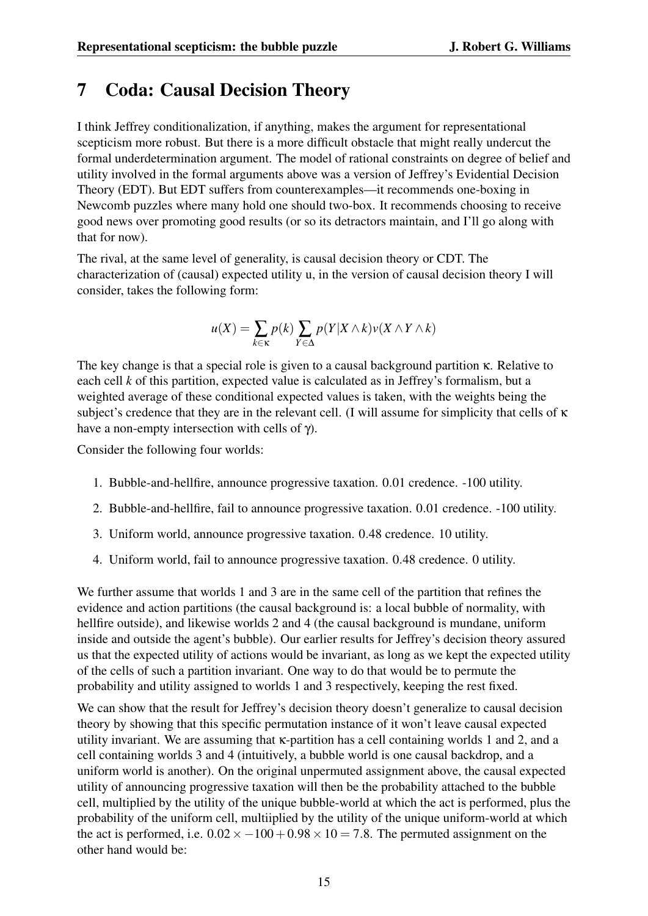## 7 Coda: Causal Decision Theory

I think Jeffrey conditionalization, if anything, makes the argument for representational scepticism more robust. But there is a more difficult obstacle that might really undercut the formal underdetermination argument. The model of rational constraints on degree of belief and utility involved in the formal arguments above was a version of Jeffrey's Evidential Decision Theory (EDT). But EDT suffers from counterexamples—it recommends one-boxing in Newcomb puzzles where many hold one should two-box. It recommends choosing to receive good news over promoting good results (or so its detractors maintain, and I'll go along with that for now).

The rival, at the same level of generality, is causal decision theory or CDT. The characterization of (causal) expected utility u, in the version of causal decision theory I will consider, takes the following form:

$$
u(X) = \sum_{k \in \kappa} p(k) \sum_{Y \in \Delta} p(Y|X \wedge k) v(X \wedge Y \wedge k)
$$

The key change is that a special role is given to a causal background partition κ. Relative to each cell *k* of this partition, expected value is calculated as in Jeffrey's formalism, but a weighted average of these conditional expected values is taken, with the weights being the subject's credence that they are in the relevant cell. (I will assume for simplicity that cells of κ have a non-empty intersection with cells of γ).

Consider the following four worlds:

- 1. Bubble-and-hellfire, announce progressive taxation. 0.01 credence. -100 utility.
- 2. Bubble-and-hellfire, fail to announce progressive taxation. 0.01 credence. -100 utility.
- 3. Uniform world, announce progressive taxation. 0.48 credence. 10 utility.
- 4. Uniform world, fail to announce progressive taxation. 0.48 credence. 0 utility.

We further assume that worlds 1 and 3 are in the same cell of the partition that refines the evidence and action partitions (the causal background is: a local bubble of normality, with hellfire outside), and likewise worlds 2 and 4 (the causal background is mundane, uniform inside and outside the agent's bubble). Our earlier results for Jeffrey's decision theory assured us that the expected utility of actions would be invariant, as long as we kept the expected utility of the cells of such a partition invariant. One way to do that would be to permute the probability and utility assigned to worlds 1 and 3 respectively, keeping the rest fixed.

We can show that the result for Jeffrey's decision theory doesn't generalize to causal decision theory by showing that this specific permutation instance of it won't leave causal expected utility invariant. We are assuming that κ-partition has a cell containing worlds 1 and 2, and a cell containing worlds 3 and 4 (intuitively, a bubble world is one causal backdrop, and a uniform world is another). On the original unpermuted assignment above, the causal expected utility of announcing progressive taxation will then be the probability attached to the bubble cell, multiplied by the utility of the unique bubble-world at which the act is performed, plus the probability of the uniform cell, multiiplied by the utility of the unique uniform-world at which the act is performed, i.e.  $0.02 \times -100 + 0.98 \times 10 = 7.8$ . The permuted assignment on the other hand would be: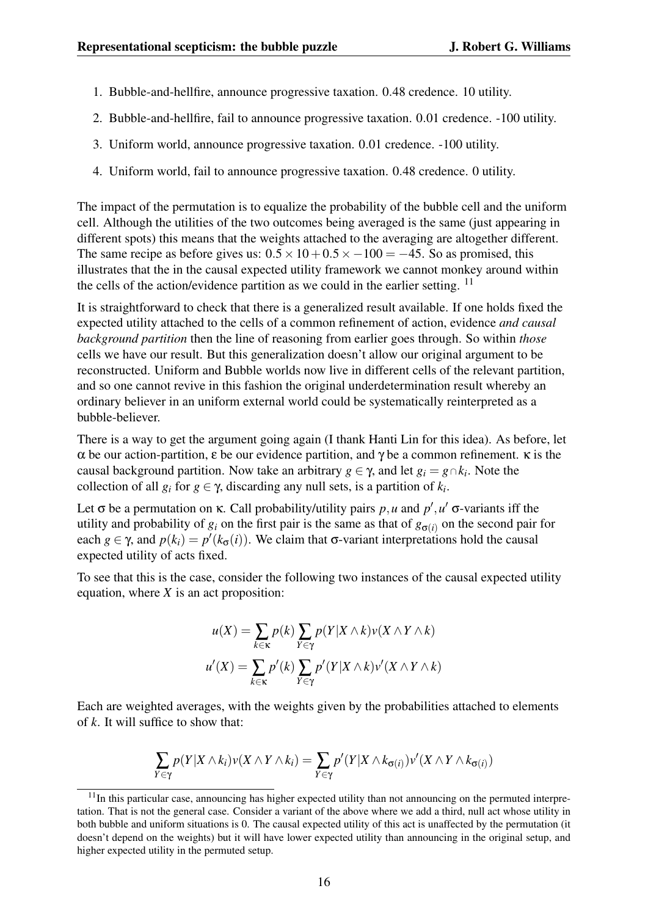- 1. Bubble-and-hellfire, announce progressive taxation. 0.48 credence. 10 utility.
- 2. Bubble-and-hellfire, fail to announce progressive taxation. 0.01 credence. -100 utility.
- 3. Uniform world, announce progressive taxation. 0.01 credence. -100 utility.
- 4. Uniform world, fail to announce progressive taxation. 0.48 credence. 0 utility.

The impact of the permutation is to equalize the probability of the bubble cell and the uniform cell. Although the utilities of the two outcomes being averaged is the same (just appearing in different spots) this means that the weights attached to the averaging are altogether different. The same recipe as before gives us:  $0.5 \times 10 + 0.5 \times -100 = -45$ . So as promised, this illustrates that the in the causal expected utility framework we cannot monkey around within the cells of the action/evidence partition as we could in the earlier setting.  $11$ 

It is straightforward to check that there is a generalized result available. If one holds fixed the expected utility attached to the cells of a common refinement of action, evidence *and causal background partition* then the line of reasoning from earlier goes through. So within *those* cells we have our result. But this generalization doesn't allow our original argument to be reconstructed. Uniform and Bubble worlds now live in different cells of the relevant partition, and so one cannot revive in this fashion the original underdetermination result whereby an ordinary believer in an uniform external world could be systematically reinterpreted as a bubble-believer.

There is a way to get the argument going again (I thank Hanti Lin for this idea). As before, let α be our action-partition, ε be our evidence partition, and γ be a common refinement. κ is the causal background partition. Now take an arbitrary  $g \in \gamma$ , and let  $g_i = g \cap k_i$ . Note the collection of all  $g_i$  for  $g \in \gamma$ , discarding any null sets, is a partition of  $k_i$ .

Let  $\sigma$  be a permutation on  $\kappa$ . Call probability/utility pairs p, u and  $p'$ , u'  $\sigma$ -variants iff the utility and probability of  $g_i$  on the first pair is the same as that of  $g_{\sigma(i)}$  on the second pair for each  $g \in \gamma$ , and  $p(k_i) = p'(k_{\sigma}(i))$ . We claim that  $\sigma$ -variant interpretations hold the causal expected utility of acts fixed.

To see that this is the case, consider the following two instances of the causal expected utility equation, where *X* is an act proposition:

$$
u(X) = \sum_{k \in \kappa} p(k) \sum_{Y \in \gamma} p(Y|X \wedge k) v(X \wedge Y \wedge k)
$$

$$
u'(X) = \sum_{k \in \kappa} p'(k) \sum_{Y \in \gamma} p'(Y|X \wedge k) v'(X \wedge Y \wedge k)
$$

Each are weighted averages, with the weights given by the probabilities attached to elements of *k*. It will suffice to show that:

$$
\sum_{Y \in \gamma} p(Y|X \wedge k_i) v(X \wedge Y \wedge k_i) = \sum_{Y \in \gamma} p'(Y|X \wedge k_{\sigma(i)}) v'(X \wedge Y \wedge k_{\sigma(i)})
$$

<span id="page-15-0"></span> $11$ In this particular case, announcing has higher expected utility than not announcing on the permuted interpretation. That is not the general case. Consider a variant of the above where we add a third, null act whose utility in both bubble and uniform situations is 0. The causal expected utility of this act is unaffected by the permutation (it doesn't depend on the weights) but it will have lower expected utility than announcing in the original setup, and higher expected utility in the permuted setup.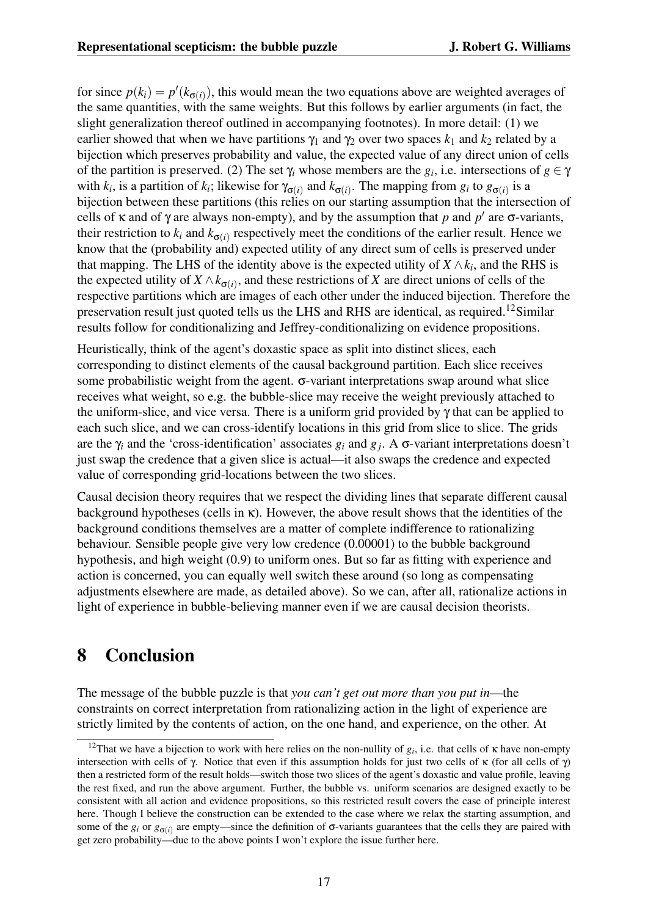for since  $p(k_i) = p'(k_{\sigma(i)})$ , this would mean the two equations above are weighted averages of the same quantities, with the same weights. But this follows by earlier arguments (in fact, the slight generalization thereof outlined in accompanying footnotes). In more detail: (1) we earlier showed that when we have partitions  $\gamma_1$  and  $\gamma_2$  over two spaces  $k_1$  and  $k_2$  related by a bijection which preserves probability and value, the expected value of any direct union of cells of the partition is preserved. (2) The set  $\gamma_i$  whose members are the  $g_i$ , i.e. intersections of  $g \in \gamma$ with  $k_i$ , is a partition of  $k_i$ ; likewise for  $\gamma_{\sigma(i)}$  and  $k_{\sigma(i)}$ . The mapping from  $g_i$  to  $g_{\sigma(i)}$  is a bijection between these partitions (this relies on our starting assumption that the intersection of cells of  $\kappa$  and of  $\gamma$  are always non-empty), and by the assumption that p and p' are  $\sigma$ -variants, their restriction to  $k_i$  and  $k_{\sigma(i)}$  respectively meet the conditions of the earlier result. Hence we know that the (probability and) expected utility of any direct sum of cells is preserved under that mapping. The LHS of the identity above is the expected utility of  $X \wedge k_i$ , and the RHS is the expected utility of  $X \wedge k_{\sigma(i)}$ , and these restrictions of *X* are direct unions of cells of the respective partitions which are images of each other under the induced bijection. Therefore the preservation result just quoted tells us the LHS and RHS are identical, as required.<sup>[12](#page-16-0)</sup>Similar results follow for conditionalizing and Jeffrey-conditionalizing on evidence propositions.

Heuristically, think of the agent's doxastic space as split into distinct slices, each corresponding to distinct elements of the causal background partition. Each slice receives some probabilistic weight from the agent. σ-variant interpretations swap around what slice receives what weight, so e.g. the bubble-slice may receive the weight previously attached to the uniform-slice, and vice versa. There is a uniform grid provided by γ that can be applied to each such slice, and we can cross-identify locations in this grid from slice to slice. The grids are the  $\gamma_i$  and the 'cross-identification' associates  $g_i$  and  $g_j$ . A  $\sigma$ -variant interpretations doesn't just swap the credence that a given slice is actual—it also swaps the credence and expected value of corresponding grid-locations between the two slices.

Causal decision theory requires that we respect the dividing lines that separate different causal background hypotheses (cells in  $\kappa$ ). However, the above result shows that the identities of the background conditions themselves are a matter of complete indifference to rationalizing behaviour. Sensible people give very low credence (0.00001) to the bubble background hypothesis, and high weight (0.9) to uniform ones. But so far as fitting with experience and action is concerned, you can equally well switch these around (so long as compensating adjustments elsewhere are made, as detailed above). So we can, after all, rationalize actions in light of experience in bubble-believing manner even if we are causal decision theorists.

# 8 Conclusion

The message of the bubble puzzle is that *you can't get out more than you put in*—the constraints on correct interpretation from rationalizing action in the light of experience are strictly limited by the contents of action, on the one hand, and experience, on the other. At

<span id="page-16-0"></span><sup>&</sup>lt;sup>12</sup>That we have a bijection to work with here relies on the non-nullity of  $g_i$ , i.e. that cells of  $\kappa$  have non-empty intersection with cells of  $\gamma$ . Notice that even if this assumption holds for just two cells of  $\kappa$  (for all cells of  $\gamma$ ) then a restricted form of the result holds—switch those two slices of the agent's doxastic and value profile, leaving the rest fixed, and run the above argument. Further, the bubble vs. uniform scenarios are designed exactly to be consistent with all action and evidence propositions, so this restricted result covers the case of principle interest here. Though I believe the construction can be extended to the case where we relax the starting assumption, and some of the  $g_i$  or  $g_{\sigma(i)}$  are empty—since the definition of  $\sigma$ -variants guarantees that the cells they are paired with get zero probability—due to the above points I won't explore the issue further here.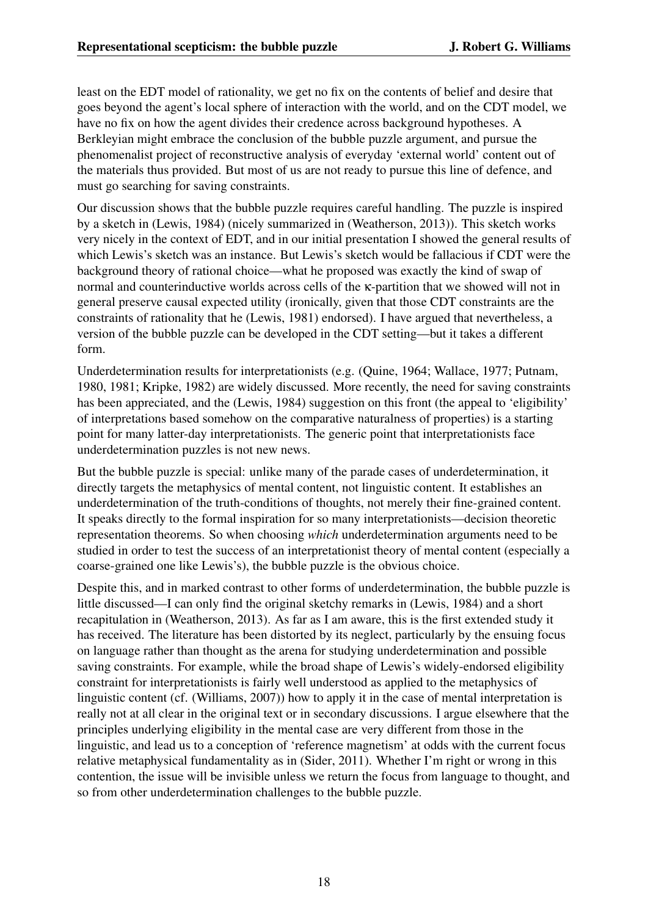least on the EDT model of rationality, we get no fix on the contents of belief and desire that goes beyond the agent's local sphere of interaction with the world, and on the CDT model, we have no fix on how the agent divides their credence across background hypotheses. A Berkleyian might embrace the conclusion of the bubble puzzle argument, and pursue the phenomenalist project of reconstructive analysis of everyday 'external world' content out of the materials thus provided. But most of us are not ready to pursue this line of defence, and must go searching for saving constraints.

Our discussion shows that the bubble puzzle requires careful handling. The puzzle is inspired by a sketch in [\(Lewis,](#page-18-7) [1984\)](#page-18-7) (nicely summarized in [\(Weatherson,](#page-19-0) [2013\)](#page-19-0)). This sketch works very nicely in the context of EDT, and in our initial presentation I showed the general results of which Lewis's sketch was an instance. But Lewis's sketch would be fallacious if CDT were the background theory of rational choice—what he proposed was exactly the kind of swap of normal and counterinductive worlds across cells of the κ-partition that we showed will not in general preserve causal expected utility (ironically, given that those CDT constraints are the constraints of rationality that he [\(Lewis,](#page-18-10) [1981\)](#page-18-10) endorsed). I have argued that nevertheless, a version of the bubble puzzle can be developed in the CDT setting—but it takes a different form.

Underdetermination results for interpretationists (e.g. [\(Quine,](#page-18-11) [1964;](#page-18-11) [Wallace,](#page-18-12) [1977;](#page-18-12) [Putnam,](#page-18-13) [1980,](#page-18-13) [1981;](#page-18-14) [Kripke,](#page-18-15) [1982\)](#page-18-15) are widely discussed. More recently, the need for saving constraints has been appreciated, and the [\(Lewis,](#page-18-7) [1984\)](#page-18-7) suggestion on this front (the appeal to 'eligibility' of interpretations based somehow on the comparative naturalness of properties) is a starting point for many latter-day interpretationists. The generic point that interpretationists face underdetermination puzzles is not new news.

But the bubble puzzle is special: unlike many of the parade cases of underdetermination, it directly targets the metaphysics of mental content, not linguistic content. It establishes an underdetermination of the truth-conditions of thoughts, not merely their fine-grained content. It speaks directly to the formal inspiration for so many interpretationists—decision theoretic representation theorems. So when choosing *which* underdetermination arguments need to be studied in order to test the success of an interpretationist theory of mental content (especially a coarse-grained one like Lewis's), the bubble puzzle is the obvious choice.

Despite this, and in marked contrast to other forms of underdetermination, the bubble puzzle is little discussed—I can only find the original sketchy remarks in [\(Lewis,](#page-18-7) [1984\)](#page-18-7) and a short recapitulation in [\(Weatherson,](#page-19-0) [2013\)](#page-19-0). As far as I am aware, this is the first extended study it has received. The literature has been distorted by its neglect, particularly by the ensuing focus on language rather than thought as the arena for studying underdetermination and possible saving constraints. For example, while the broad shape of Lewis's widely-endorsed eligibility constraint for interpretationists is fairly well understood as applied to the metaphysics of linguistic content (cf. [\(Williams,](#page-19-1) [2007\)](#page-19-1)) how to apply it in the case of mental interpretation is really not at all clear in the original text or in secondary discussions. I argue elsewhere that the principles underlying eligibility in the mental case are very different from those in the linguistic, and lead us to a conception of 'reference magnetism' at odds with the current focus relative metaphysical fundamentality as in [\(Sider,](#page-18-16) [2011\)](#page-18-16). Whether I'm right or wrong in this contention, the issue will be invisible unless we return the focus from language to thought, and so from other underdetermination challenges to the bubble puzzle.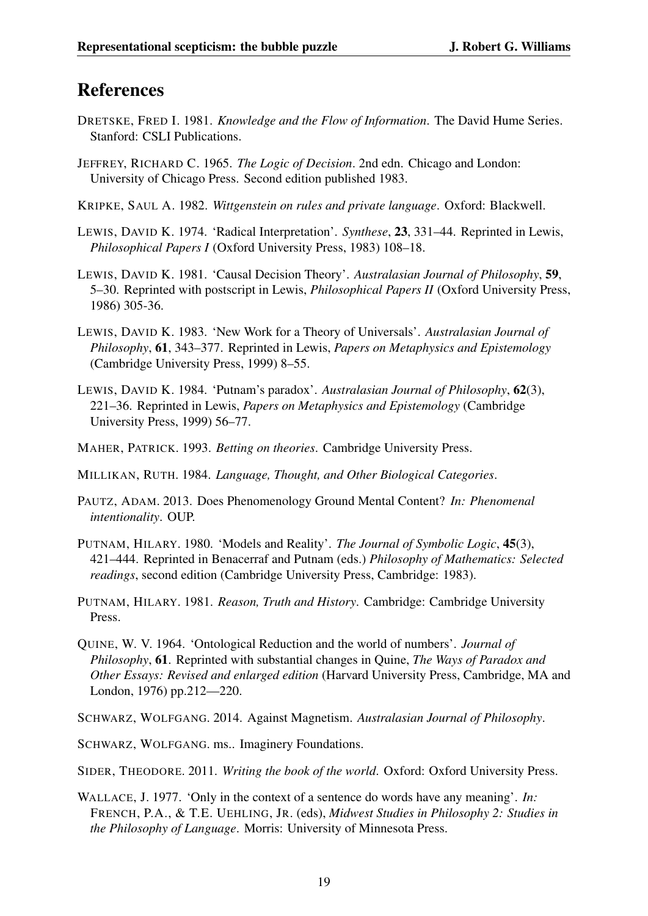## References

- <span id="page-18-3"></span>DRETSKE, FRED I. 1981. *Knowledge and the Flow of Information*. The David Hume Series. Stanford: CSLI Publications.
- <span id="page-18-5"></span>JEFFREY, RICHARD C. 1965. *The Logic of Decision*. 2nd edn. Chicago and London: University of Chicago Press. Second edition published 1983.
- <span id="page-18-15"></span>KRIPKE, SAUL A. 1982. *Wittgenstein on rules and private language*. Oxford: Blackwell.
- <span id="page-18-0"></span>LEWIS, DAVID K. 1974. 'Radical Interpretation'. *Synthese*, 23, 331–44. Reprinted in Lewis, *Philosophical Papers I* (Oxford University Press, 1983) 108–18.
- <span id="page-18-10"></span>LEWIS, DAVID K. 1981. 'Causal Decision Theory'. *Australasian Journal of Philosophy*, 59, 5–30. Reprinted with postscript in Lewis, *Philosophical Papers II* (Oxford University Press, 1986) 305-36.
- <span id="page-18-6"></span>LEWIS, DAVID K. 1983. 'New Work for a Theory of Universals'. *Australasian Journal of Philosophy*, 61, 343–377. Reprinted in Lewis, *Papers on Metaphysics and Epistemology* (Cambridge University Press, 1999) 8–55.
- <span id="page-18-7"></span>LEWIS, DAVID K. 1984. 'Putnam's paradox'. *Australasian Journal of Philosophy*, 62(3), 221–36. Reprinted in Lewis, *Papers on Metaphysics and Epistemology* (Cambridge University Press, 1999) 56–77.
- <span id="page-18-1"></span>MAHER, PATRICK. 1993. *Betting on theories*. Cambridge University Press.
- <span id="page-18-4"></span>MILLIKAN, RUTH. 1984. *Language, Thought, and Other Biological Categories*.
- <span id="page-18-2"></span>PAUTZ, ADAM. 2013. Does Phenomenology Ground Mental Content? *In: Phenomenal intentionality*. OUP.
- <span id="page-18-13"></span>PUTNAM, HILARY. 1980. 'Models and Reality'. *The Journal of Symbolic Logic*, 45(3), 421–444. Reprinted in Benacerraf and Putnam (eds.) *Philosophy of Mathematics: Selected readings*, second edition (Cambridge University Press, Cambridge: 1983).
- <span id="page-18-14"></span>PUTNAM, HILARY. 1981. *Reason, Truth and History*. Cambridge: Cambridge University Press.
- <span id="page-18-11"></span>QUINE, W. V. 1964. 'Ontological Reduction and the world of numbers'. *Journal of Philosophy*, 61. Reprinted with substantial changes in Quine, *The Ways of Paradox and Other Essays: Revised and enlarged edition* (Harvard University Press, Cambridge, MA and London, 1976) pp.212—220.

<span id="page-18-8"></span>SCHWARZ, WOLFGANG. 2014. Against Magnetism. *Australasian Journal of Philosophy*.

<span id="page-18-9"></span>SCHWARZ, WOLFGANG. ms.. Imaginery Foundations.

<span id="page-18-16"></span>SIDER, THEODORE. 2011. *Writing the book of the world*. Oxford: Oxford University Press.

<span id="page-18-12"></span>WALLACE, J. 1977. 'Only in the context of a sentence do words have any meaning'. *In:* FRENCH, P.A., & T.E. UEHLING, JR. (eds), *Midwest Studies in Philosophy 2: Studies in the Philosophy of Language*. Morris: University of Minnesota Press.